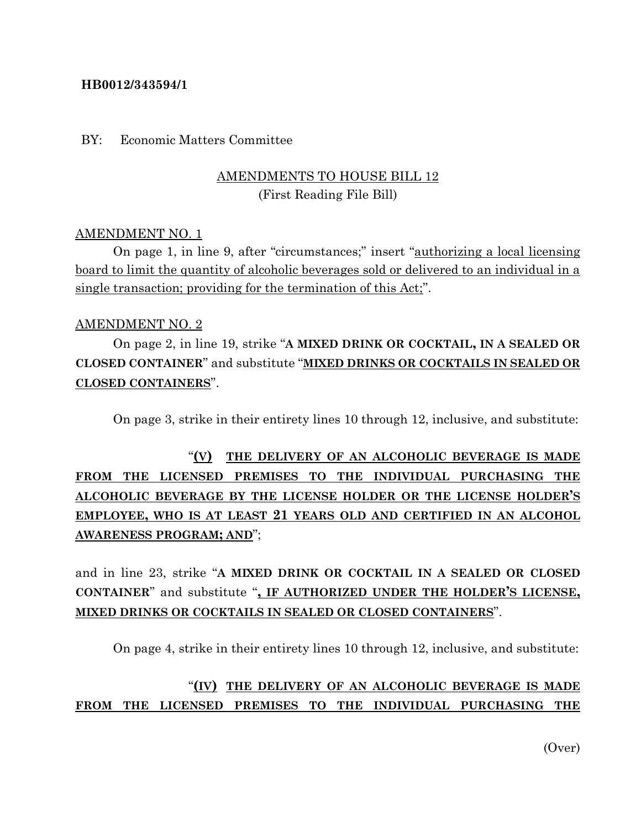### **HB0012/343594/1**

#### BY: Economic Matters Committee

## AMENDMENTS TO HOUSE BILL 12 (First Reading File Bill)

### AMENDMENT NO. 1

On page 1, in line 9, after "circumstances;" insert "authorizing a local licensing board to limit the quantity of alcoholic beverages sold or delivered to an individual in a single transaction; providing for the termination of this Act;".

#### AMENDMENT NO. 2

On page 2, in line 19, strike "**A MIXED DRINK OR COCKTAIL, IN A SEALED OR CLOSED CONTAINER**" and substitute "**MIXED DRINKS OR COCKTAILS IN SEALED OR CLOSED CONTAINERS**".

On page 3, strike in their entirety lines 10 through 12, inclusive, and substitute:

"**(V) THE DELIVERY OF AN ALCOHOLIC BEVERAGE IS MADE FROM THE LICENSED PREMISES TO THE INDIVIDUAL PURCHASING THE ALCOHOLIC BEVERAGE BY THE LICENSE HOLDER OR THE LICENSE HOLDER'S EMPLOYEE, WHO IS AT LEAST 21 YEARS OLD AND CERTIFIED IN AN ALCOHOL AWARENESS PROGRAM; AND**";

and in line 23, strike "**A MIXED DRINK OR COCKTAIL IN A SEALED OR CLOSED CONTAINER**" and substitute "**, IF AUTHORIZED UNDER THE HOLDER'S LICENSE, MIXED DRINKS OR COCKTAILS IN SEALED OR CLOSED CONTAINERS**".

On page 4, strike in their entirety lines 10 through 12, inclusive, and substitute:

## "**(IV) THE DELIVERY OF AN ALCOHOLIC BEVERAGE IS MADE FROM THE LICENSED PREMISES TO THE INDIVIDUAL PURCHASING THE**

(Over)